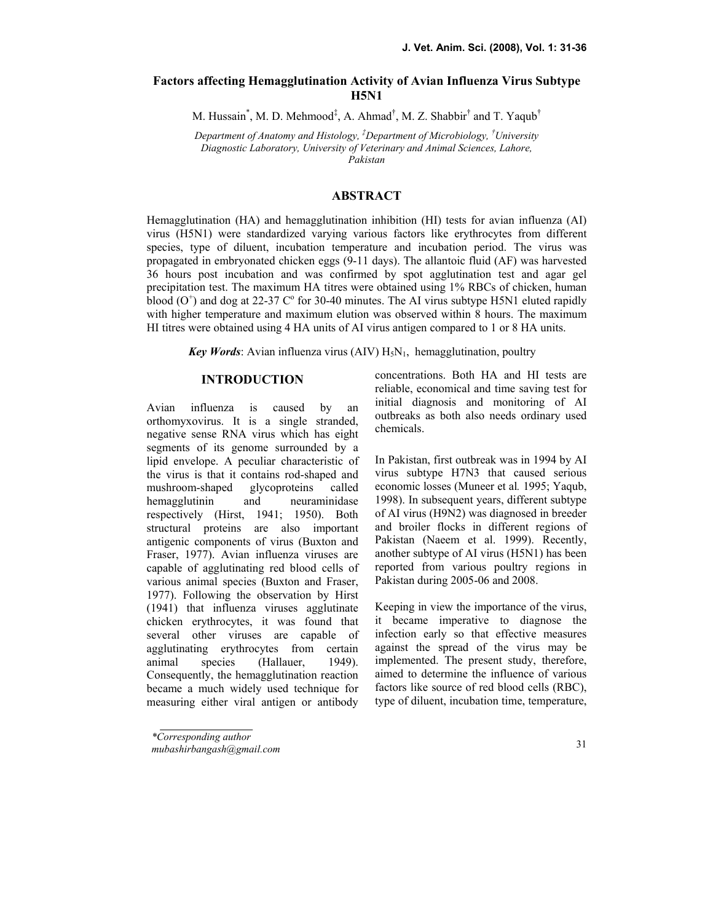# Factors affecting Hemagglutination Activity of Avian Influenza Virus Subtype **H5N1**

M. Hussain<sup>\*</sup>, M. D. Mehmood<sup>‡</sup>, A. Ahmad<sup>†</sup>, M. Z. Shabbir<sup>†</sup> and T. Yaqub<sup>†</sup>

Department of Anatomy and Histology,  ${}^{\ddagger}$ Department of Microbiology,  ${}^{\dagger}$ University Diagnostic Laboratory, University of Veterinary and Animal Sciences, Lahore, Pakistan

## ABSTRACT

Hemagglutination (HA) and hemagglutination inhibition (HI) tests for avian influenza (AI) virus (H5N1) were standardized varying various factors like erythrocytes from different species, type of diluent, incubation temperature and incubation period. The virus was propagated in embryonated chicken eggs (9-11 days). The allantoic fluid (AF) was harvested 36 hours post incubation and was confirmed by spot agglutination test and agar gel precipitation test. The maximum HA titres were obtained using 1% RBCs of chicken, human blood  $(O<sup>+</sup>)$  and dog at 22-37  $C<sup>o</sup>$  for 30-40 minutes. The AI virus subtype H5N1 eluted rapidly with higher temperature and maximum elution was observed within 8 hours. The maximum HI titres were obtained using 4 HA units of AI virus antigen compared to 1 or 8 HA units.

**Key Words:** Avian influenza virus (AIV)  $H_5N_1$ , hemagglutination, poultry

# **INTRODUCTION**

Avian influenza is caused by an orthomyxovirus. It is a single stranded, negative sense RNA virus which has eight segments of its genome surrounded by a lipid envelope. A peculiar characteristic of the virus is that it contains rod-shaped and<br>mushroom-shaped glycoproteins called mushroom-shaped glycoproteins called hemagglutinin and neuraminidase respectively (Hirst, 1941; 1950). Both structural proteins are also important antigenic components of virus (Buxton and Fraser, 1977). Avian influenza viruses are capable of agglutinating red blood cells of various animal species (Buxton and Fraser, 1977). Following the observation by Hirst (1941) that influenza viruses agglutinate chicken erythrocytes, it was found that several other viruses are capable of agglutinating erythrocytes from certain animal species (Hallauer, 1949). Consequently, the hemagglutination reaction became a much widely used technique for measuring either viral antigen or antibody

concentrations. Both HA and HI tests are reliable, economical and time saving test for initial diagnosis and monitoring of AI outbreaks as both also needs ordinary used chemicals.

In Pakistan, first outbreak was in 1994 by AI virus subtype H7N3 that caused serious economic losses (Muneer et al. 1995; Yaqub, 1998). In subsequent years, different subtype of AI virus (H9N2) was diagnosed in breeder and broiler flocks in different regions of Pakistan (Naeem et al. 1999). Recently, another subtype of AI virus (H5N1) has been reported from various poultry regions in Pakistan during 2005-06 and 2008.

Keeping in view the importance of the virus, it became imperative to diagnose the infection early so that effective measures against the spread of the virus may be implemented. The present study, therefore, aimed to determine the influence of various factors like source of red blood cells (RBC), type of diluent, incubation time, temperature,

<sup>\*</sup>Corresponding author

mubashirbangash@gmail.com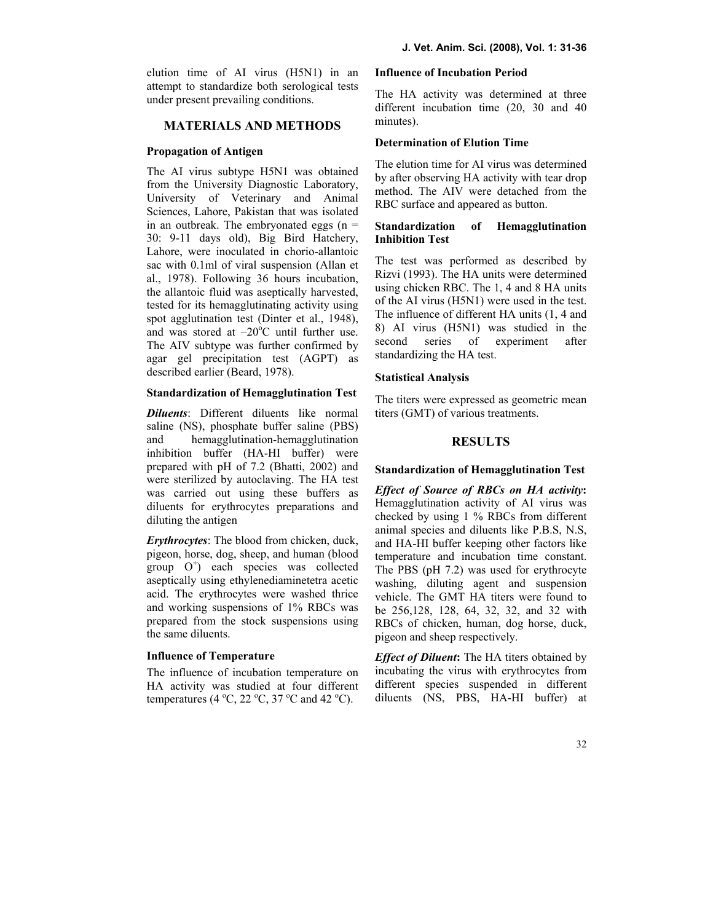elution time of AI virus (H5N1) in an attempt to standardize both serological tests under present prevailing conditions.

#### MATERIALS AD METHODS

#### Propagation of Antigen

The AI virus subtype H5N1 was obtained from the University Diagnostic Laboratory, University of Veterinary and Animal Sciences, Lahore, Pakistan that was isolated in an outbreak. The embryonated eggs  $(n =$ 30: 9-11 days old), Big Bird Hatchery, Lahore, were inoculated in chorio-allantoic sac with 0.1ml of viral suspension (Allan et al., 1978). Following 36 hours incubation, the allantoic fluid was aseptically harvested, tested for its hemagglutinating activity using spot agglutination test (Dinter et al., 1948), and was stored at  $-20^{\circ}$ C until further use. The AIV subtype was further confirmed by agar gel precipitation test (AGPT) as described earlier (Beard, 1978).

#### Standardization of Hemagglutination Test

**Diluents**: Different diluents like normal saline (NS), phosphate buffer saline (PBS) and hemagglutination-hemagglutination inhibition buffer (HA-HI buffer) were prepared with pH of 7.2 (Bhatti, 2002) and were sterilized by autoclaving. The HA test was carried out using these buffers as diluents for erythrocytes preparations and diluting the antigen

Erythrocytes: The blood from chicken, duck, pigeon, horse, dog, sheep, and human (blood group O<sup>+</sup>) each species was collected aseptically using ethylenediaminetetra acetic acid. The erythrocytes were washed thrice and working suspensions of 1% RBCs was prepared from the stock suspensions using the same diluents.

### Influence of Temperature

The influence of incubation temperature on HA activity was studied at four different temperatures (4  $^{\circ}$ C, 22  $^{\circ}$ C, 37  $^{\circ}$ C and 42  $^{\circ}$ C).

#### Influence of Incubation Period

The HA activity was determined at three different incubation time (20, 30 and 40 minutes).

### Determination of Elution Time

The elution time for AI virus was determined by after observing HA activity with tear drop method. The AIV were detached from the RBC surface and appeared as button.

## Standardization of Hemagglutination Inhibition Test

The test was performed as described by Rizvi (1993). The HA units were determined using chicken RBC. The 1, 4 and 8 HA units of the AI virus (H5N1) were used in the test. The influence of different HA units (1, 4 and 8) AI virus (H5N1) was studied in the second series of experiment after standardizing the HA test.

#### Statistical Analysis

The titers were expressed as geometric mean titers (GMT) of various treatments.

### RESULTS

#### Standardization of Hemagglutination Test

Effect of Source of RBCs on HA activity: Hemagglutination activity of AI virus was checked by using 1 % RBCs from different animal species and diluents like P.B.S, N.S, and HA-HI buffer keeping other factors like temperature and incubation time constant. The PBS (pH 7.2) was used for erythrocyte washing, diluting agent and suspension vehicle. The GMT HA titers were found to be 256,128, 128, 64, 32, 32, and 32 with RBCs of chicken, human, dog horse, duck, pigeon and sheep respectively.

*Effect of Diluent:* The HA titers obtained by incubating the virus with erythrocytes from different species suspended in different diluents (NS, PBS, HA-HI buffer) at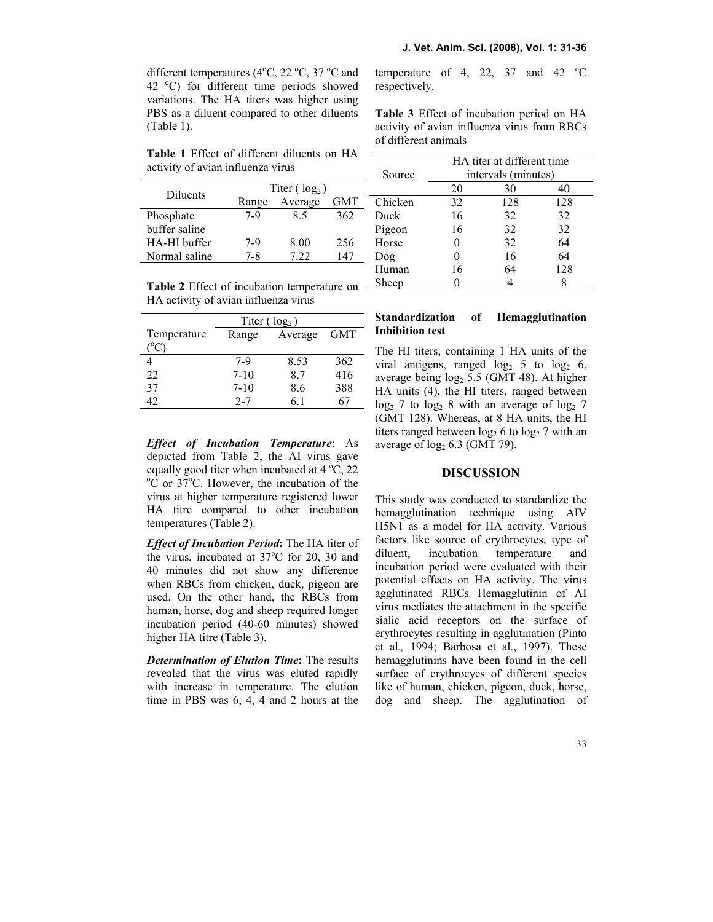different temperatures (4 $\degree$ C, 22 $\degree$ C, 37 $\degree$ C and 42  $^{\circ}$ C) for different time periods showed variations. The HA titers was higher using PBS as a diluent compared to other diluents (Table 1).

Table 1 Effect of different diluents on HA activity of avian influenza virus

|               |                  |         |     | Ω   |
|---------------|------------------|---------|-----|-----|
| Diluents      | Titer $(\log_2)$ |         |     |     |
|               | Range            | Average | GMT | Сh  |
| Phosphate     | $7-9$            | 85      | 362 | Dι  |
| buffer saline |                  |         |     | Piş |
| HA-HI buffer  | $7-9$            | 8.00    | 256 | Hc  |
| Normal saline | 7-8              | 7 22    | 147 | Dc  |
|               |                  |         |     |     |

Table 2 Effect of incubation temperature on  $\overline{\phantom{a}}$ HA activity of avian influenza virus

|             | Titer $(\log_2)$ |         |     |  |
|-------------|------------------|---------|-----|--|
| Temperature | Range            | Average | GMT |  |
|             |                  |         |     |  |
|             | $7-9$            | 8.53    | 362 |  |
| 22          | $7 - 10$         | 87      | 416 |  |
| 37          | $7-10$           | 8.6     | 388 |  |
|             | $2 - 7$          | 61      |     |  |

Effect of Incubation Temperature: As depicted from Table 2, the AI virus gave equally good titer when incubated at  $4^{\circ}$ C, 22  $\rm{^{\circ}C}$  or 37 $\rm{^{\circ}C}$ . However, the incubation of the virus at higher temperature registered lower HA titre compared to other incubation temperatures (Table 2).

**Effect of Incubation Period:** The HA titer of the virus, incubated at  $37^{\circ}$ C for 20, 30 and 40 minutes did not show any difference when RBCs from chicken, duck, pigeon are used. On the other hand, the RBCs from human, horse, dog and sheep required longer incubation period (40-60 minutes) showed higher HA titre (Table 3).

**Determination of Elution Time:** The results revealed that the virus was eluted rapidly with increase in temperature. The elution time in PBS was 6, 4, 4 and 2 hours at the temperature of 4, 22, 37 and 42  $^{\circ}$ C respectively.

Table 3 Effect of incubation period on HA activity of avian influenza virus from RBCs of different animals

|         | HA titer at different time |     |     |  |
|---------|----------------------------|-----|-----|--|
| Source  | intervals (minutes)        |     |     |  |
|         | 20                         | 30  | 40  |  |
| Chicken | 32                         | 128 | 128 |  |
| Duck    | 16                         | 32  | 32  |  |
| Pigeon  | 16                         | 32  | 32  |  |
| Horse   | 0                          | 32  | 64  |  |
| Dog     | 0                          | 16  | 64  |  |
| Human   | 16                         | 64  | 128 |  |
| Sheep   |                            |     | Ջ   |  |

# Standardization of Hemagglutination Inhibition test

The HI titers, containing 1 HA units of the viral antigens, ranged  $log_2 5$  to  $log_2 6$ , average being  $log<sub>2</sub> 5.5$  (GMT 48). At higher HA units (4), the HI titers, ranged between  $\log_2 7$  to  $\log_2 8$  with an average of  $\log_2 7$ (GMT 128). Whereas, at 8 HA units, the HI titers ranged between  $log_2 6$  to  $log_2 7$  with an average of  $log<sub>2</sub> 6.3$  (GMT 79).

### **DISCUSSION**

This study was conducted to standardize the hemagglutination technique using AIV H5N1 as a model for HA activity. Various factors like source of erythrocytes, type of diluent, incubation temperature and incubation period were evaluated with their potential effects on HA activity. The virus agglutinated RBCs Hemagglutinin of AI virus mediates the attachment in the specific sialic acid receptors on the surface of erythrocytes resulting in agglutination (Pinto et al., 1994; Barbosa et al., 1997). These hemagglutinins have been found in the cell surface of erythrocyes of different species like of human, chicken, pigeon, duck, horse, dog and sheep. The agglutination of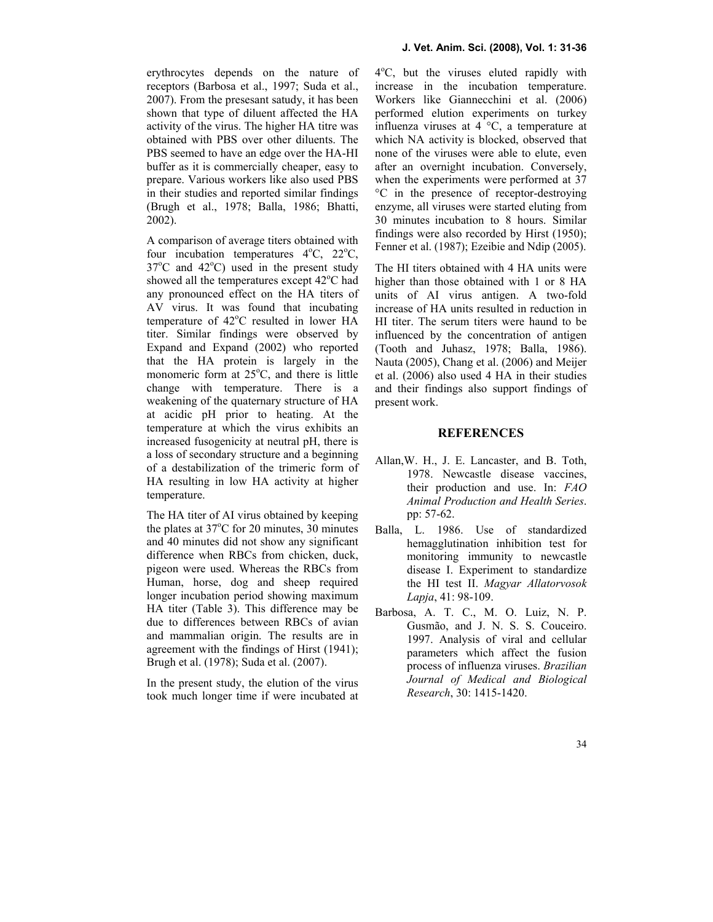erythrocytes depends on the nature of receptors (Barbosa et al., 1997; Suda et al., 2007). From the presesant satudy, it has been shown that type of diluent affected the HA activity of the virus. The higher HA titre was obtained with PBS over other diluents. The PBS seemed to have an edge over the HA-HI buffer as it is commercially cheaper, easy to prepare. Various workers like also used PBS in their studies and reported similar findings (Brugh et al., 1978; Balla, 1986; Bhatti, 2002).

A comparison of average titers obtained with four incubation temperatures  $4^{\circ}C$ ,  $22^{\circ}C$ ,  $37^{\circ}$ C and  $42^{\circ}$ C) used in the present study showed all the temperatures except  $42^{\circ}$ C had any pronounced effect on the HA titers of AV virus. It was found that incubating temperature of 42°C resulted in lower HA titer. Similar findings were observed by Expand and Expand (2002) who reported that the HA protein is largely in the monomeric form at  $25^{\circ}$ C, and there is little change with temperature. There is a weakening of the quaternary structure of HA at acidic pH prior to heating. At the temperature at which the virus exhibits an increased fusogenicity at neutral pH, there is a loss of secondary structure and a beginning of a destabilization of the trimeric form of HA resulting in low HA activity at higher temperature.

The HA titer of AI virus obtained by keeping the plates at  $37^{\circ}$ C for 20 minutes, 30 minutes and 40 minutes did not show any significant difference when RBCs from chicken, duck, pigeon were used. Whereas the RBCs from Human, horse, dog and sheep required longer incubation period showing maximum HA titer (Table 3). This difference may be due to differences between RBCs of avian and mammalian origin. The results are in agreement with the findings of Hirst (1941); Brugh et al. (1978); Suda et al. (2007).

In the present study, the elution of the virus took much longer time if were incubated at

4 <sup>o</sup>C, but the viruses eluted rapidly with increase in the incubation temperature. Workers like Giannecchini et al. (2006) performed elution experiments on turkey influenza viruses at 4 °C, a temperature at which NA activity is blocked, observed that none of the viruses were able to elute, even after an overnight incubation. Conversely, when the experiments were performed at 37 °C in the presence of receptor-destroying enzyme, all viruses were started eluting from 30 minutes incubation to 8 hours. Similar findings were also recorded by Hirst (1950); Fenner et al. (1987); Ezeibie and Ndip (2005).

The HI titers obtained with 4 HA units were higher than those obtained with 1 or 8 HA units of AI virus antigen. A two-fold increase of HA units resulted in reduction in HI titer. The serum titers were haund to be influenced by the concentration of antigen (Tooth and Juhasz, 1978; Balla, 1986). Nauta (2005), Chang et al. (2006) and Meijer et al. (2006) also used 4 HA in their studies and their findings also support findings of present work.

## **REFERENCES**

- Allan,W. H., J. E. Lancaster, and B. Toth, 1978. Newcastle disease vaccines, their production and use. In: FAO Animal Production and Health Series. pp: 57-62.
- Balla, L. 1986. Use of standardized hemagglutination inhibition test for monitoring immunity to newcastle disease I. Experiment to standardize the HI test II. Magyar Allatorvosok Lapja, 41: 98-109.
- Barbosa, A. T. C., M. O. Luiz, N. P. Gusmão, and J. N. S. S. Couceiro. 1997. Analysis of viral and cellular parameters which affect the fusion process of influenza viruses. Brazilian Journal of Medical and Biological Research, 30: 1415-1420.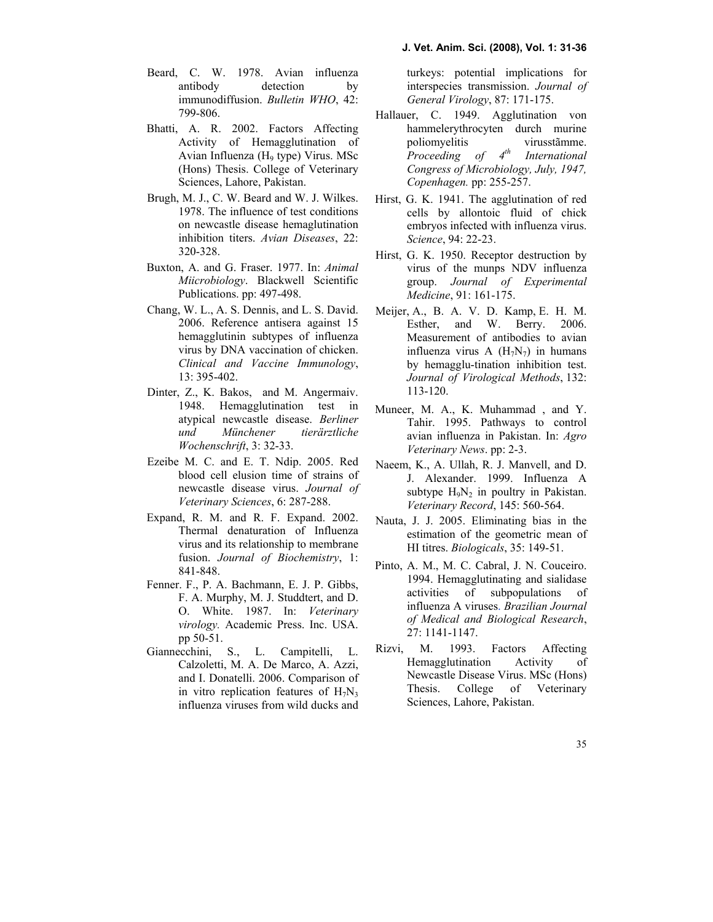- Beard, C. W. 1978. Avian influenza antibody detection by immunodiffusion. Bulletin WHO, 42: 799-806.
- Bhatti, A. R. 2002. Factors Affecting Activity of Hemagglutination of Avian Influenza (H9 type) Virus. MSc (Hons) Thesis. College of Veterinary Sciences, Lahore, Pakistan.
- Brugh, M. J., C. W. Beard and W. J. Wilkes. 1978. The influence of test conditions on newcastle disease hemaglutination inhibition titers. Avian Diseases, 22: 320-328.
- Buxton, A. and G. Fraser. 1977. In: Animal Miicrobiology. Blackwell Scientific Publications. pp: 497-498.
- Chang, W. L., A. S. Dennis, and L. S. David. 2006. Reference antisera against 15 hemagglutinin subtypes of influenza virus by DNA vaccination of chicken. Clinical and Vaccine Immunology, 13: 395-402.
- Dinter, Z., K. Bakos, and M. Angermaiv. 1948. Hemagglutination test in atypical newcastle disease. Berliner und Münchener tierärztliche Wochenschrift, 3: 32-33.
- Ezeibe [M. C. an](http://www.ncbi.nlm.nih.gov/entrez/query.fcgi?db=pubmed&cmd=Search&itool=pubmed_AbstractPlus&term=%22Ndip+ET%22%5BAuthor%5D)d E. T. Ndip. 2005. Red blood cell elusion time of strains of newcast[le disease vi](javascript:AL_get(this, )rus. Journal of Veterinary Sciences, 6: 287-288.
- Expand, R. M. and R. F. Expand. 2002. Thermal denaturation of Influenza virus and its relationship to membrane fusion. Journal of B[iochemistry](http://www.ncbi.nlm.nih.gov/sites/entrez?Db=pubmed&Cmd=Search&Term=%22Pinto%20AM%22%5BAuthor%5D&itool=EntrezSystem2.PEntrez.Pubmed.Pubmed_ResultsPanel.Pubmed_RVAbstractPlus), 1: 841-848.
- Fenner. F., P. A. Bachmann, E. J. P. Gibbs, F. A. Murphy, M. J. Studdtert, and D. O. White. 1987. In: Veterinary virology. Academic Press. Inc. USA. pp 50-51.
- [G](http://www.ncbi.nlm.nih.gov/entrez/query.fcgi?db=pubmed&cmd=Search&itool=pubmed_AbstractPlus&term=%22Giannecchini+S%22%5BAuthor%5D)iannecc[hini, S., L.](http://www.ncbi.nlm.nih.gov/entrez/query.fcgi?db=pubmed&cmd=Search&itool=pubmed_AbstractPlus&term=%22Campitelli+L%22%5BAuthor%5D) Campitelli, L. [Calzoletti, M](http://www.ncbi.nlm.nih.gov/entrez/query.fcgi?db=pubmed&cmd=Search&itool=pubmed_AbstractPlus&term=%22De+Marco+MA%22%5BAuthor%5D). [A. De](http://www.ncbi.nlm.nih.gov/entrez/query.fcgi?db=pubmed&cmd=Search&itool=pubmed_AbstractPlus&term=%22Azzi+A%22%5BAuthor%5D) Marco, A. Azzi, and I. Donatelli. 2006. Comparison of in vitro replication features of  $H_7N_3$ influenza viruses from wild ducks and

turkeys: potential implications for interspe[cies transmiss](javascript:AL_get(this, )ion. Journal of General Virology, 87: 171-175.

- Hallauer, C. 1949. Agglutination von hammelerythrocyten durch murine poliomyelitis virusstãmme. Proceeding of  $4<sup>th</sup>$  International Congress of Microbiology, July, 1947, Copenhagen. pp: 255-257.
- Hirst, G. K. 1941. The agglutination of red cells by allontoic fluid of chick embryos infected with influenza virus. Science, 94: 22-23.
- Hirst, G. K. 1950. Receptor destruction by virus of the munps NDV influenza group. Journal of Experimental Medicine, 91: 161-175.
- Meijer, A., B. A. V. D. Kamp, E. H. M. Esther, and W. Berry. 2006. Measurement of antibodies to avian influenza virus A  $(H_7N_7)$  in humans by hemagglu-tination inhibition test. Journal of Virological Methods, 132: 113-120.
- Muneer, M. A., K. Muhammad , and Y. Tahir. 1995. Pathways to control avian influenza in Pakistan. In: Agro Veterinary News. pp: 2-3.
- Naeem, K., A. Ullah, R. J. Manvell, and D. J. Alexander. 1999. Influenza A subtype  $H_9N_2$  in poultry in Pakistan. Veterinary Record, 145: 560-564.
- Nauta, J. J. 2005. Eliminating bias in the estimation of the geometric mean of HI titres. Biologicals, 35: 149-51.
- Pi[nto, A. M](http://www.ncbi.nlm.nih.gov/sites/entrez?Db=pubmed&Cmd=Search&Term=%22Cabral%20MC%22%5BAuthor%5D&itool=EntrezSystem2.PEntrez.Pubmed.Pubmed_ResultsPanel.Pubmed_RVAbstractPlus)., [M. C. Cabral](http://www.ncbi.nlm.nih.gov/sites/entrez?Db=pubmed&Cmd=Search&Term=%22Couceiro%20JN%22%5BAuthor%5D&itool=EntrezSystem2.PEntrez.Pubmed.Pubmed_ResultsPanel.Pubmed_RVAbstractPlus), J. N. Couceiro. 1994. Hemagglutinating and sialidase activities of subpopulations of [infl](javascript:AL_get(this, )uenza A viruses. Brazilian Journal of Medical and Biological Research, 27: 1141-1147.
- Rizvi, M. 1993. Factors Affecting Hemagglutination Activity of Newcastle Disease Virus. MSc (Hons) Thesis. College of Veterinary Sciences, Lahore, Pakistan.